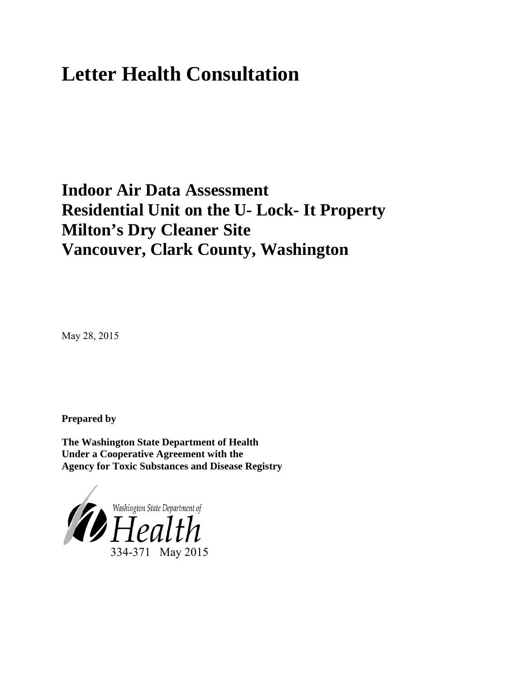# **Letter Health Consultation**

## **Indoor Air Data Assessment Residential Unit on the U- Lock- It Property Milton's Dry Cleaner Site Vancouver, Clark County, Washington**

May 28, 2015

**Prepared by**

**The Washington State Department of Health Under a Cooperative Agreement with the Agency for Toxic Substances and Disease Registry**

<span id="page-0-0"></span>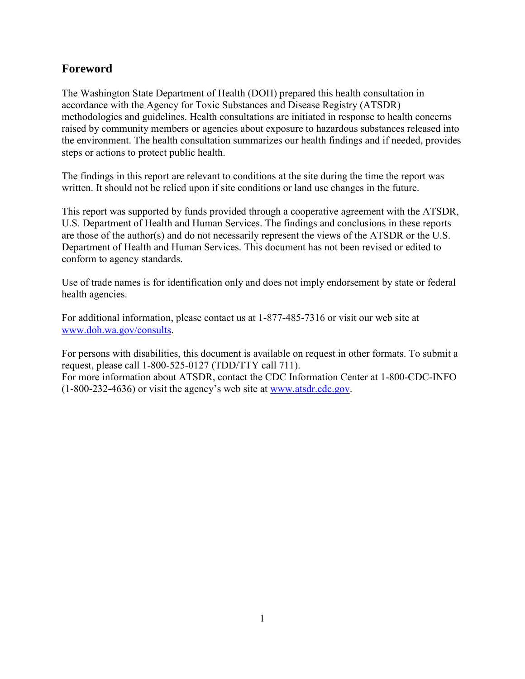## **Foreword**

The Washington State Department of Health (DOH) prepared this health consultation in accordance with the Agency for Toxic Substances and Disease Registry (ATSDR) methodologies and guidelines. Health consultations are initiated in response to health concerns raised by community members or agencies about exposure to hazardous substances released into the environment. The health consultation summarizes our health findings and if needed, provides steps or actions to protect public health.

The findings in this report are relevant to conditions at the site during the time the report was written. It should not be relied upon if site conditions or land use changes in the future.

This report was supported by funds provided through a cooperative agreement with the ATSDR, U.S. Department of Health and Human Services. The findings and conclusions in these reports are those of the author(s) and do not necessarily represent the views of the ATSDR or the U.S. Department of Health and Human Services. This document has not been revised or edited to conform to agency standards.

Use of trade names is for identification only and does not imply endorsement by state or federal health agencies.

For additional information, please contact us at 1-877-485-7316 or visit our web site at [www.doh.wa.gov/consults.](http://www.doh.wa.gov/consults)

For persons with disabilities, this document is available on request in other formats. To submit a request, please call 1-800-525-0127 (TDD/TTY call 711). For more information about ATSDR, contact the CDC Information Center at 1-800-CDC-INFO (1-800-232-4636) or visit the agency's web site at [www.atsdr.cdc.gov.](http://www.atsdr.cdc.gov/)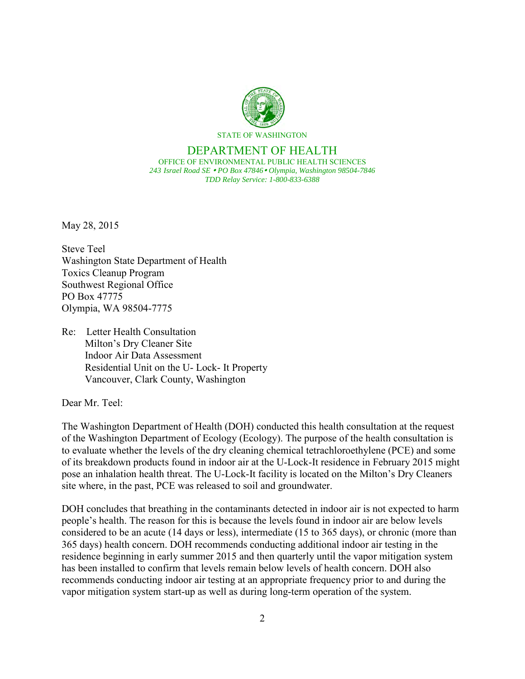

#### DEPARTMENT OF HEALTH OFFICE OF ENVIRONMENTAL PUBLIC HEALTH SCIENCES *243 Israel Road SE PO Box 47846 Olympia, Washington 98504-7846 TDD Relay Service: 1-800-833-6388*

May 28, 2015

Steve Teel Washington State Department of Health Toxics Cleanup Program Southwest Regional Office PO Box 47775 Olympia, WA 98504-7775

Re: Letter Health Consultation Milton's Dry Cleaner Site Indoor Air Data Assessment Residential Unit on the U- Lock- It Property Vancouver, Clark County, Washington

Dear Mr. Teel:

The Washington Department of Health (DOH) conducted this health consultation at the request of the Washington Department of Ecology (Ecology). The purpose of the health consultation is to evaluate whether the levels of the dry cleaning chemical tetrachloroethylene (PCE) and some of its breakdown products found in indoor air at the U-Lock-It residence in February 2015 might pose an inhalation health threat. The U-Lock-It facility is located on the Milton's Dry Cleaners site where, in the past, PCE was released to soil and groundwater.

DOH concludes that breathing in the contaminants detected in indoor air is not expected to harm people's health. The reason for this is because the levels found in indoor air are below levels considered to be an acute (14 days or less), intermediate (15 to 365 days), or chronic (more than 365 days) health concern. DOH recommends conducting additional indoor air testing in the residence beginning in early summer 2015 and then quarterly until the vapor mitigation system has been installed to confirm that levels remain below levels of health concern. DOH also recommends conducting indoor air testing at an appropriate frequency prior to and during the vapor mitigation system start-up as well as during long-term operation of the system.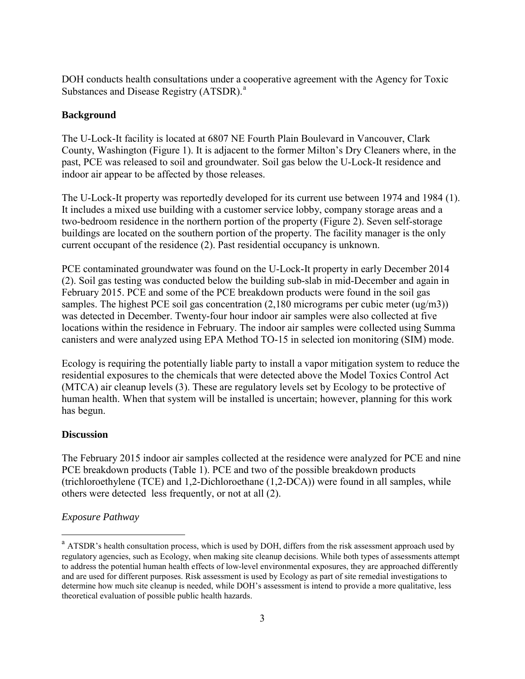DOH conducts health consultations under a cooperative agreement with the Agency for Toxic Subst[a](#page-0-0)nces and Disease Registry (ATSDR).<sup>a</sup>

## **Background**

The U-Lock-It facility is located at 6807 NE Fourth Plain Boulevard in Vancouver, Clark County, Washington (Figure 1). It is adjacent to the former Milton's Dry Cleaners where, in the past, PCE was released to soil and groundwater. Soil gas below the U-Lock-It residence and indoor air appear to be affected by those releases.

The U-Lock-It property was reportedly developed for its current use between 1974 and 1984 (1). It includes a mixed use building with a customer service lobby, company storage areas and a two-bedroom residence in the northern portion of the property (Figure 2). Seven self-storage buildings are located on the southern portion of the property. The facility manager is the only current occupant of the residence (2). Past residential occupancy is unknown.

PCE contaminated groundwater was found on the U-Lock-It property in early December 2014 (2). Soil gas testing was conducted below the building sub-slab in mid-December and again in February 2015. PCE and some of the PCE breakdown products were found in the soil gas samples. The highest PCE soil gas concentration (2,180 micrograms per cubic meter (ug/m3)) was detected in December. Twenty-four hour indoor air samples were also collected at five locations within the residence in February. The indoor air samples were collected using Summa canisters and were analyzed using EPA Method TO-15 in selected ion monitoring (SIM) mode.

Ecology is requiring the potentially liable party to install a vapor mitigation system to reduce the residential exposures to the chemicals that were detected above the Model Toxics Control Act (MTCA) air cleanup levels (3). These are regulatory levels set by Ecology to be protective of human health. When that system will be installed is uncertain; however, planning for this work has begun.

## **Discussion**

The February 2015 indoor air samples collected at the residence were analyzed for PCE and nine PCE breakdown products (Table 1). PCE and two of the possible breakdown products (trichloroethylene (TCE) and 1,2-Dichloroethane (1,2-DCA)) were found in all samples, while others were detected less frequently, or not at all (2).

## *Exposure Pathway*

 $\overline{a}$ 

<sup>&</sup>lt;sup>a</sup> ATSDR's health consultation process, which is used by DOH, differs from the risk assessment approach used by regulatory agencies, such as Ecology, when making site cleanup decisions. While both types of assessments attempt to address the potential human health effects of low-level environmental exposures, they are approached differently and are used for different purposes. Risk assessment is used by Ecology as part of site remedial investigations to determine how much site cleanup is needed, while DOH's assessment is intend to provide a more qualitative, less theoretical evaluation of possible public health hazards.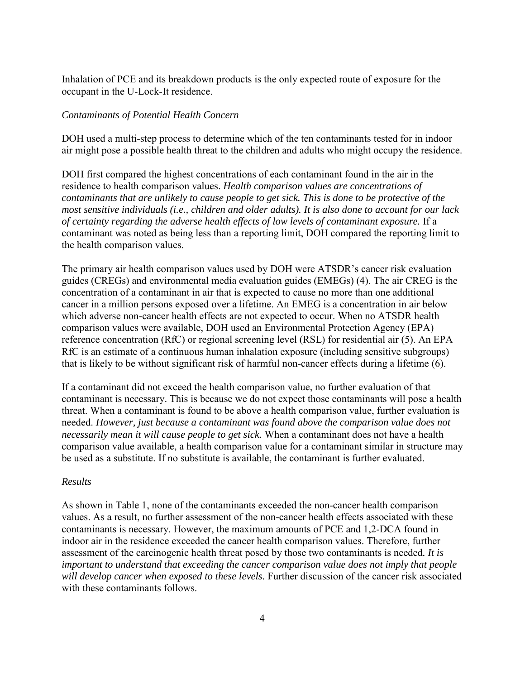Inhalation of PCE and its breakdown products is the only expected route of exposure for the occupant in the U-Lock-It residence.

### *Contaminants of Potential Health Concern*

DOH used a multi-step process to determine which of the ten contaminants tested for in indoor air might pose a possible health threat to the children and adults who might occupy the residence.

DOH first compared the highest concentrations of each contaminant found in the air in the residence to health comparison values. *Health comparison values are concentrations of contaminants that are unlikely to cause people to get sick. This is done to be protective of the most sensitive individuals (i.e., children and older adults). It is also done to account for our lack of certainty regarding the adverse health effects of low levels of contaminant exposure.* If a contaminant was noted as being less than a reporting limit, DOH compared the reporting limit to the health comparison values.

The primary air health comparison values used by DOH were ATSDR's cancer risk evaluation guides (CREGs) and environmental media evaluation guides (EMEGs) (4). The air CREG is the concentration of a contaminant in air that is expected to cause no more than one additional cancer in a million persons exposed over a lifetime. An EMEG is a concentration in air below which adverse non-cancer health effects are not expected to occur. When no ATSDR health comparison values were available, DOH used an Environmental Protection Agency (EPA) reference concentration (RfC) or regional screening level (RSL) for residential air (5). An EPA RfC is an estimate of a continuous human inhalation exposure (including sensitive subgroups) that is likely to be without significant risk of harmful non-cancer effects during a lifetime (6).

If a contaminant did not exceed the health comparison value, no further evaluation of that contaminant is necessary. This is because we do not expect those contaminants will pose a health threat. When a contaminant is found to be above a health comparison value, further evaluation is needed. *However, just because a contaminant was found above the comparison value does not necessarily mean it will cause people to get sick.* When a contaminant does not have a health comparison value available, a health comparison value for a contaminant similar in structure may be used as a substitute. If no substitute is available, the contaminant is further evaluated.

#### *Results*

As shown in Table 1, none of the contaminants exceeded the non-cancer health comparison values. As a result, no further assessment of the non-cancer health effects associated with these contaminants is necessary. However, the maximum amounts of PCE and 1,2-DCA found in indoor air in the residence exceeded the cancer health comparison values. Therefore, further assessment of the carcinogenic health threat posed by those two contaminants is needed*. It is important to understand that exceeding the cancer comparison value does not imply that people will develop cancer when exposed to these levels.* Further discussion of the cancer risk associated with these contaminants follows.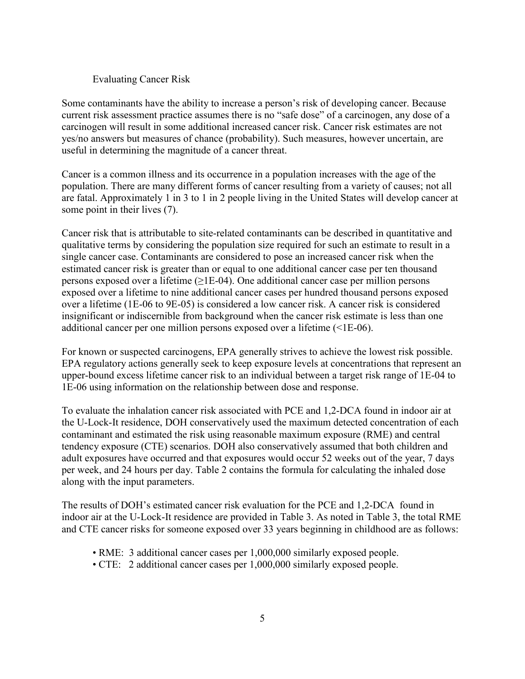#### Evaluating Cancer Risk

Some contaminants have the ability to increase a person's risk of developing cancer. Because current risk assessment practice assumes there is no "safe dose" of a carcinogen, any dose of a carcinogen will result in some additional increased cancer risk. Cancer risk estimates are not yes/no answers but measures of chance (probability). Such measures, however uncertain, are useful in determining the magnitude of a cancer threat.

Cancer is a common illness and its occurrence in a population increases with the age of the population. There are many different forms of cancer resulting from a variety of causes; not all are fatal. Approximately 1 in 3 to 1 in 2 people living in the United States will develop cancer at some point in their lives (7).

Cancer risk that is attributable to site-related contaminants can be described in quantitative and qualitative terms by considering the population size required for such an estimate to result in a single cancer case. Contaminants are considered to pose an increased cancer risk when the estimated cancer risk is greater than or equal to one additional cancer case per ten thousand persons exposed over a lifetime  $(\geq 1E-04)$ . One additional cancer case per million persons exposed over a lifetime to nine additional cancer cases per hundred thousand persons exposed over a lifetime (1E-06 to 9E-05) is considered a low cancer risk. A cancer risk is considered insignificant or indiscernible from background when the cancer risk estimate is less than one additional cancer per one million persons exposed over a lifetime (<1E-06).

For known or suspected carcinogens, EPA generally strives to achieve the lowest risk possible. EPA regulatory actions generally seek to keep exposure levels at concentrations that represent an upper-bound excess lifetime cancer risk to an individual between a target risk range of 1E-04 to 1E-06 using information on the relationship between dose and response.

To evaluate the inhalation cancer risk associated with PCE and 1,2-DCA found in indoor air at the U-Lock-It residence, DOH conservatively used the maximum detected concentration of each contaminant and estimated the risk using reasonable maximum exposure (RME) and central tendency exposure (CTE) scenarios. DOH also conservatively assumed that both children and adult exposures have occurred and that exposures would occur 52 weeks out of the year, 7 days per week, and 24 hours per day. Table 2 contains the formula for calculating the inhaled dose along with the input parameters.

The results of DOH's estimated cancer risk evaluation for the PCE and 1,2-DCA found in indoor air at the U-Lock-It residence are provided in Table 3. As noted in Table 3, the total RME and CTE cancer risks for someone exposed over 33 years beginning in childhood are as follows:

- RME: 3 additional cancer cases per 1,000,000 similarly exposed people.
- CTE: 2 additional cancer cases per 1,000,000 similarly exposed people.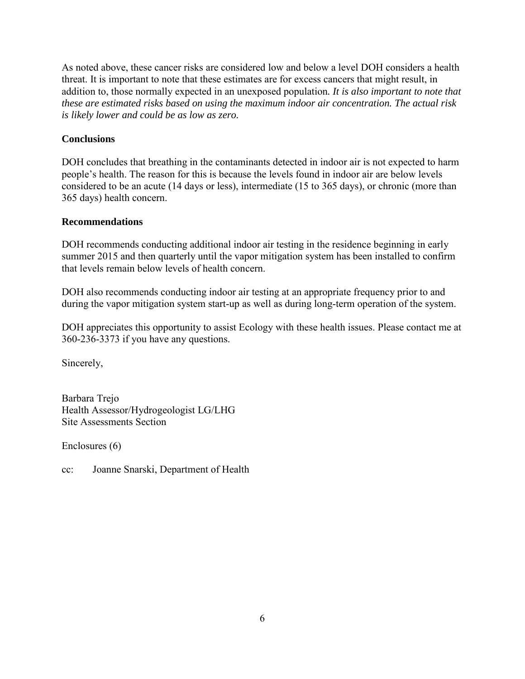As noted above, these cancer risks are considered low and below a level DOH considers a health threat. It is important to note that these estimates are for excess cancers that might result, in addition to, those normally expected in an unexposed population*. It is also important to note that these are estimated risks based on using the maximum indoor air concentration. The actual risk is likely lower and could be as low as zero.*

## **Conclusions**

DOH concludes that breathing in the contaminants detected in indoor air is not expected to harm people's health. The reason for this is because the levels found in indoor air are below levels considered to be an acute (14 days or less), intermediate (15 to 365 days), or chronic (more than 365 days) health concern.

## **Recommendations**

DOH recommends conducting additional indoor air testing in the residence beginning in early summer 2015 and then quarterly until the vapor mitigation system has been installed to confirm that levels remain below levels of health concern.

DOH also recommends conducting indoor air testing at an appropriate frequency prior to and during the vapor mitigation system start-up as well as during long-term operation of the system.

DOH appreciates this opportunity to assist Ecology with these health issues. Please contact me at 360-236-3373 if you have any questions.

Sincerely,

Barbara Trejo Health Assessor/Hydrogeologist LG/LHG Site Assessments Section

Enclosures (6)

cc: Joanne Snarski, Department of Health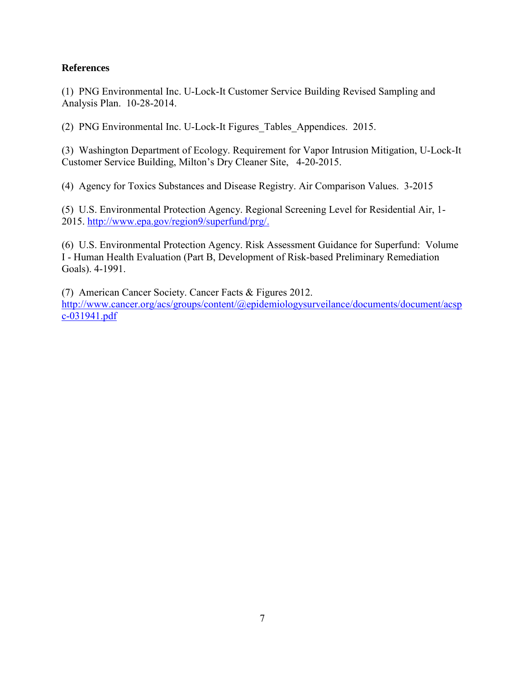## **References**

(1) PNG Environmental Inc. U-Lock-It Customer Service Building Revised Sampling and Analysis Plan. 10-28-2014.

(2) PNG Environmental Inc. U-Lock-It Figures\_Tables\_Appendices. 2015.

(3) Washington Department of Ecology. Requirement for Vapor Intrusion Mitigation, U-Lock-It Customer Service Building, Milton's Dry Cleaner Site, 4-20-2015.

(4) Agency for Toxics Substances and Disease Registry. Air Comparison Values. 3-2015

(5) U.S. Environmental Protection Agency. Regional Screening Level for Residential Air, 1- 2015. [http://www.epa.gov/region9/superfund/prg/.](http://www.epa.gov/region9/superfund/prg/)

(6) U.S. Environmental Protection Agency. Risk Assessment Guidance for Superfund: Volume I - Human Health Evaluation (Part B, Development of Risk-based Preliminary Remediation Goals). 4-1991.

(7) American Cancer Society. Cancer Facts & Figures 2012. [http://www.cancer.org/acs/groups/content/@epidemiologysurveilance/documents/document/acsp](http://www.cancer.org/acs/groups/content/@epidemiologysurveilance/documents/document/acspc-031941.pdf) [c-031941.pdf](http://www.cancer.org/acs/groups/content/@epidemiologysurveilance/documents/document/acspc-031941.pdf)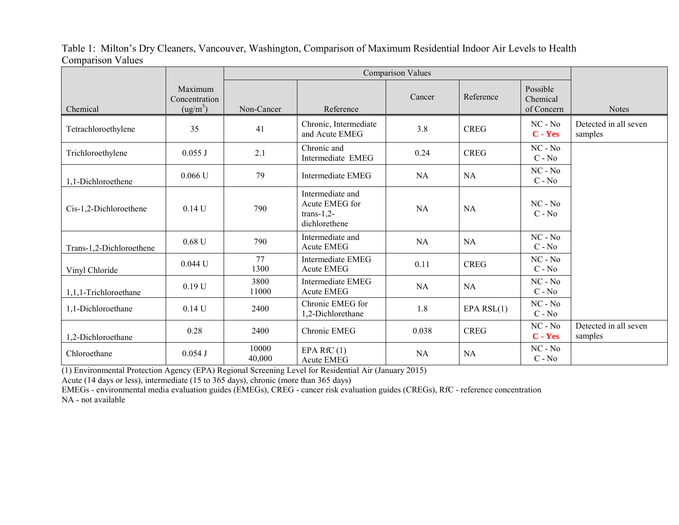## Table 1: Milton's Dry Cleaners, Vancouver, Washington, Comparison of Maximum Residential Indoor Air Levels to Health Comparison Values

|                          |                                                  | <b>Comparison Values</b> |                                                                     |           |              |                                    |                                  |
|--------------------------|--------------------------------------------------|--------------------------|---------------------------------------------------------------------|-----------|--------------|------------------------------------|----------------------------------|
| Chemical                 | Maximum<br>Concentration<br>(ug/m <sup>3</sup> ) | Non-Cancer               | Reference                                                           | Cancer    | Reference    | Possible<br>Chemical<br>of Concern | <b>Notes</b>                     |
| Tetrachloroethylene      | 35                                               | 41                       | Chronic, Intermediate<br>and Acute EMEG                             | 3.8       | <b>CREG</b>  | $NC - No$<br>$C - Yes$             | Detected in all seven<br>samples |
| Trichloroethylene        | $0.055$ J                                        | 2.1                      | Chronic and<br>Intermediate EMEG                                    | 0.24      | <b>CREG</b>  | $NC - No$<br>$C - No$              |                                  |
| 1,1-Dichloroethene       | 0.066 U                                          | 79                       | Intermediate EMEG                                                   | NA        | <b>NA</b>    | $NC - No$<br>$C - No$              |                                  |
| Cis-1,2-Dichloroethene   | $0.14$ U                                         | 790                      | Intermediate and<br>Acute EMEG for<br>$trans-1,2-$<br>dichlorethene | <b>NA</b> | <b>NA</b>    | $NC - No$<br>$C - No$              |                                  |
| Trans-1,2-Dichloroethene | $0.68$ U                                         | 790                      | Intermediate and<br><b>Acute EMEG</b>                               | NA        | <b>NA</b>    | $NC - No$<br>$C - No$              |                                  |
| Vinyl Chloride           | 0.044 U                                          | 77<br>1300               | Intermediate EMEG<br><b>Acute EMEG</b>                              | 0.11      | <b>CREG</b>  | $NC - No$<br>$C - No$              |                                  |
| 1,1,1-Trichloroethane    | 0.19 U                                           | 3800<br>11000            | Intermediate EMEG<br><b>Acute EMEG</b>                              | NA        | NA           | $NC - No$<br>$C - No$              |                                  |
| 1,1-Dichloroethane       | $0.14$ U                                         | 2400                     | Chronic EMEG for<br>1,2-Dichlorethane                               | 1.8       | EPA $RSL(1)$ | $NC - No$<br>$C - No$              |                                  |
| 1,2-Dichloroethane       | 0.28                                             | 2400                     | Chronic EMEG                                                        | 0.038     | <b>CREG</b>  | $NC - No$<br>$C - Yes$             | Detected in all seven<br>samples |
| Chloroethane             | 0.054J                                           | 10000<br>40,000          | EPA RfC $(1)$<br><b>Acute EMEG</b>                                  | <b>NA</b> | NA           | $NC - No$<br>$C - No$              |                                  |

(1) Environmental Protection Agency (EPA) Regional Screening Level for Residential Air (January 2015)

Acute (14 days or less), intermediate (15 to 365 days), chronic (more than 365 days)

EMEGs - environmental media evaluation guides (EMEGs), CREG - cancer risk evaluation guides (CREGs), RfC - reference concentration NA - not available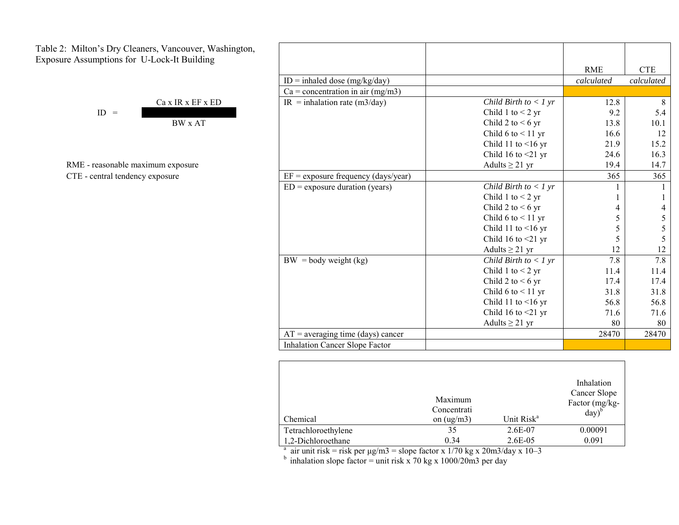Table 2: Milton's Dry Cleaners, Vancouver, Washington, Exposure Assumptions for U-Lock-It Building

|            | $Ca \times IR \times EF \times ED$ |
|------------|------------------------------------|
| ID.<br>$=$ |                                    |
|            | $\overline{R}$ W v $\Delta T$      |

RME - reasonable maximum exposure CTE - central tendency exposure

| 's Dry Cleaners, Vancouver, Washington,                                                                                             |                                            |                             |            |            |
|-------------------------------------------------------------------------------------------------------------------------------------|--------------------------------------------|-----------------------------|------------|------------|
|                                                                                                                                     |                                            |                             | <b>RME</b> | <b>CTE</b> |
|                                                                                                                                     |                                            |                             | calculated | calculated |
|                                                                                                                                     | $Ca = concentration in air (mg/m3)$        |                             |            |            |
|                                                                                                                                     | $IR = inhalation rate (m3/day)$            | Child Birth to $<$ 1 yr     | 12.8       | 8          |
| $ID =$                                                                                                                              |                                            | Child 1 to $<$ 2 yr         | 9.2        | 5.4        |
| <b>BW</b> x AT                                                                                                                      |                                            | Child 2 to $< 6 \text{ yr}$ | 13.8       | 10.1       |
|                                                                                                                                     |                                            | Child 6 to $<$ 11 yr        | 16.6       | 12         |
|                                                                                                                                     |                                            | Child 11 to $\leq$ 16 yr    | 21.9       | 15.2       |
|                                                                                                                                     |                                            | Child 16 to $\leq$ 21 yr    | 24.6       | 16.3       |
| easonable maximum exposure                                                                                                          |                                            | Adults $\geq$ 21 yr         | 19.4       | 14.7       |
| ntral tendency exposure                                                                                                             | $EF =$ exposure frequency (days/year)      |                             | 365        | 365        |
|                                                                                                                                     | $ED =$ exposure duration (years)           | Child Birth to $<$ 1 yr     |            |            |
|                                                                                                                                     |                                            | Child 1 to $<$ 2 yr         |            |            |
|                                                                                                                                     |                                            | Child 2 to $< 6 \text{ yr}$ |            |            |
| iptions for U-Lock-It Building<br>$ID = \text{inhaled dose (mg/kg/day)}$<br>Ca x IR x EF x ED<br>$\overline{BW}$ = body weight (kg) |                                            | Child 6 to $<$ 11 yr        |            |            |
|                                                                                                                                     |                                            | Child 11 to $\leq$ 16 yr    | 5          | 5          |
|                                                                                                                                     |                                            | Child 16 to $\leq$ 21 yr    | 5          | 5          |
|                                                                                                                                     |                                            | Adults $\geq$ 21 yr         | 12         | 12         |
|                                                                                                                                     |                                            | Child Birth to $<$ 1 yr     | 7.8        | 7.8        |
|                                                                                                                                     |                                            | Child 1 to $<$ 2 yr         | 11.4       | 11.4       |
|                                                                                                                                     |                                            | Child 2 to $< 6 \text{ yr}$ | 17.4       | 17.4       |
|                                                                                                                                     |                                            | Child 6 to $<$ 11 yr        | 31.8       | 31.8       |
|                                                                                                                                     |                                            | Child 11 to $\leq$ 16 yr    | 56.8       | 56.8       |
|                                                                                                                                     |                                            | Child 16 to $\leq$ 21 yr    | 71.6       | 71.6       |
|                                                                                                                                     |                                            | Adults $\geq$ 21 yr         | 80         | 80         |
|                                                                                                                                     | $AT = \text{averaging time (days) cancer}$ |                             | 28470      | 28470      |
|                                                                                                                                     | <b>Inhalation Cancer Slope Factor</b>      |                             |            |            |

| Chemical                                                                       | Maximum<br>Concentrati<br>on $(ug/m3)$ | Unit Risk <sup>a</sup> | Inhalation<br>Cancer Slope<br>Factor (mg/kg-<br>$day)^b$ |  |  |
|--------------------------------------------------------------------------------|----------------------------------------|------------------------|----------------------------------------------------------|--|--|
| Tetrachloroethylene                                                            | 35                                     | 2.6E-07                | 0.00091                                                  |  |  |
| 1,2-Dichloroethane                                                             | 0.34                                   | $2.6E-0.5$             | 0.091                                                    |  |  |
| air unit risk = risk per $\mu$ g/m3 = slope factor x 1/70 kg x 20m3/day x 10–3 |                                        |                        |                                                          |  |  |

<sup>b</sup> inhalation slope factor = unit risk x 70 kg x 1000/20m3 per day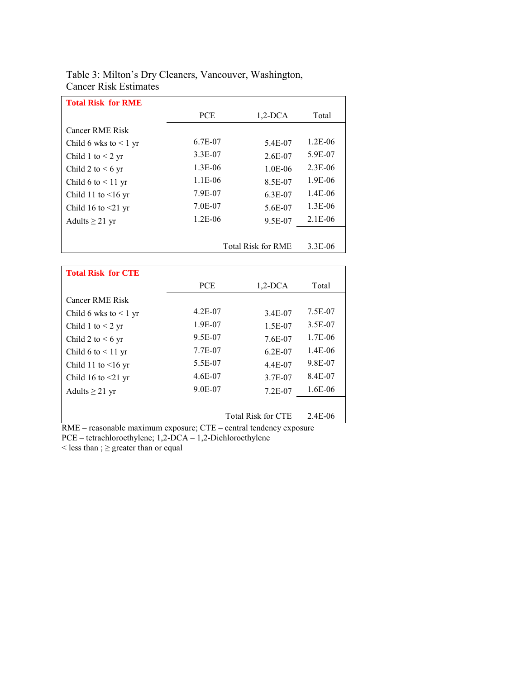## Table 3: Milton's Dry Cleaners, Vancouver, Washington, Cancer Risk Estimates

| <b>Total Risk for RME</b>  |                           |            |             |
|----------------------------|---------------------------|------------|-------------|
|                            | <b>PCE</b>                | $1,2$ -DCA | Total       |
| Cancer RME Risk            |                           |            |             |
| Child 6 wks to $\leq 1$ yr | 6.7E-07                   | 5.4E-07    | $1.2E - 06$ |
| Child 1 to $<$ 2 yr        | 3.3E-07                   | 2.6E-07    | 5.9E-07     |
| Child 2 to $\leq 6$ yr     | 1.3E-06                   | $1.0E-06$  | $2.3E-06$   |
| Child 6 to $\leq$ 11 yr    | 1.1E-06                   | 8.5E-07    | 1.9E-06     |
| Child 11 to $\leq$ 16 yr   | 7.9E-07                   | 6.3E-07    | 1.4E-06     |
| Child 16 to $\leq$ 21 yr   | 7.0E-07                   | 5.6E-07    | $1.3E-06$   |
| Adults $\geq$ 21 yr        | $1.2E-06$                 | 9.5E-07    | $2.1E-06$   |
|                            |                           |            |             |
|                            | <b>Total Risk for RME</b> | 3.3E-06    |             |

| <b>Total Risk for CTE</b>  |             |                           |           |
|----------------------------|-------------|---------------------------|-----------|
|                            | <b>PCE</b>  | $1,2$ -DCA                | Total     |
| <b>Cancer RME Risk</b>     |             |                           |           |
| Child 6 wks to $\leq 1$ yr | $4.2E - 07$ | 3.4E-07                   | 7.5E-07   |
| Child 1 to $<$ 2 yr        | 1.9E-07     | 1.5E-07                   | 3.5E-07   |
| Child 2 to $\leq 6$ yr     | 9.5E-07     | 7.6E-07                   | 1.7E-06   |
| Child 6 to $<$ 11 yr       | 7.7E-07     | $6.2E - 07$               | $1.4E-06$ |
| Child 11 to $\leq 16$ yr   | 5.5E-07     | 4.4E-07                   | 9.8E-07   |
| Child 16 to $\leq$ 21 yr   | 4.6E-07     | 3.7E-07                   | 8.4E-07   |
| Adults $\geq$ 21 yr        | 9.0E-07     | $7.2E - 07$               | 1.6E-06   |
|                            |             |                           |           |
|                            |             | <b>Total Risk for CTE</b> | 2.4E-06   |

RME – reasonable maximum exposure; CTE – central tendency exposure

PCE – tetrachloroethylene; 1,2-DCA – 1,2-Dichloroethylene

 $\le$  less than ;  $\ge$  greater than or equal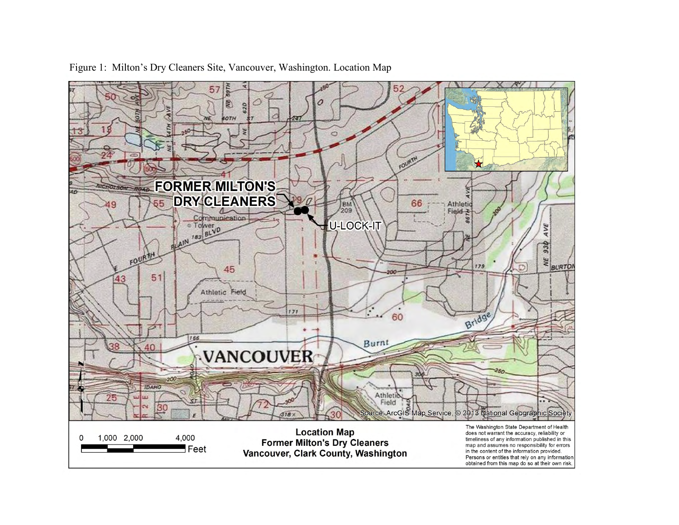

Figure 1: Milton's Dry Cleaners Site, Vancouver, Washington. Location Map